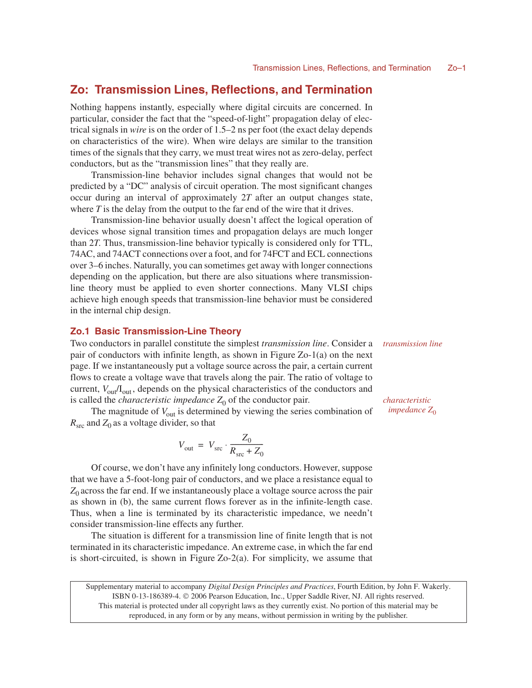# **Zo: Transmission Lines, Reflections, and Termination**

Nothing happens instantly, especially where digital circuits are concerned. In particular, consider the fact that the "speed-of-light" propagation delay of electrical signals in *wire* is on the order of 1.5–2 ns per foot (the exact delay depends on characteristics of the wire). When wire delays are similar to the transition times of the signals that they carry, we must treat wires not as zero-delay, perfect conductors, but as the "transmission lines" that they really are.

Transmission-line behavior includes signal changes that would not be predicted by a "DC" analysis of circuit operation. The most significant changes occur during an interval of approximately 2*T* after an output changes state, where  $T$  is the delay from the output to the far end of the wire that it drives.

Transmission-line behavior usually doesn't affect the logical operation of devices whose signal transition times and propagation delays are much longer than 2*T*. Thus, transmission-line behavior typically is considered only for TTL, 74AC, and 74ACT connections over a foot, and for 74FCT and ECL connections over 3–6 inches. Naturally, you can sometimes get away with longer connections depending on the application, but there are also situations where transmissionline theory must be applied to even shorter connections. Many VLSI chips achieve high enough speeds that transmission-line behavior must be considered in the internal chip design.

## **Zo.1 Basic Transmission-Line Theory**

Two conductors in parallel constitute the simplest *transmission line*. Consider a pair of conductors with infinite length, as shown in Figure Zo-1(a) on the next page. If we instantaneously put a voltage source across the pair, a certain current flows to create a voltage wave that travels along the pair. The ratio of voltage to current,  $V_{\text{out}}/I_{\text{out}}$ , depends on the physical characteristics of the conductors and is called the *characteristic impedance*  $Z_0$  of the conductor pair.

The magnitude of  $V_{\text{out}}$  is determined by viewing the series combination of  $R_{\rm src}$  and  $Z_0$  as a voltage divider, so that

$$
V_{\text{out}} = V_{\text{src}} \cdot \frac{Z_0}{R_{\text{src}} + Z_0}
$$

Of course, we don't have any infinitely long conductors. However, suppose that we have a 5-foot-long pair of conductors, and we place a resistance equal to  $Z_0$  across the far end. If we instantaneously place a voltage source across the pair as shown in (b), the same current flows forever as in the infinite-length case. Thus, when a line is terminated by its characteristic impedance, we needn't consider transmission-line effects any further.

The situation is different for a transmission line of finite length that is not terminated in its characteristic impedance. An extreme case, in which the far end is short-circuited, is shown in Figure Zo-2(a). For simplicity, we assume that

Supplementary material to accompany *Digital Design Principles and Practices*, Fourth Edition, by John F. Wakerly. ISBN 0-13-186389-4.  $\odot$  2006 Pearson Education, Inc., Upper Saddle River, NJ. All rights reserved. This material is protected under all copyright laws as they currently exist. No portion of this material may be reproduced, in any form or by any means, without permission in writing by the publisher.

*transmission line*

*characteristic*  $impedance Z_0$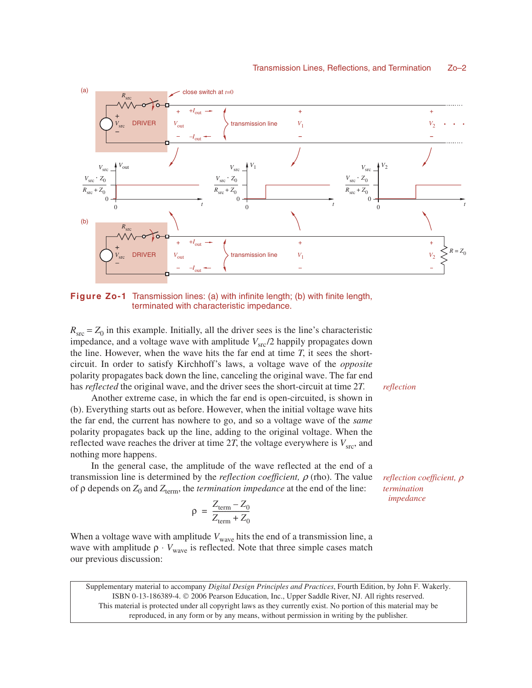

**Figure Zo-1** Transmission lines: (a) with infinite length; (b) with finite length, terminated with characteristic impedance.

 $R_{\rm src} = Z_0$  in this example. Initially, all the driver sees is the line's characteristic impedance, and a voltage wave with amplitude  $V_{\text{src}}/2$  happily propagates down the line. However, when the wave hits the far end at time *T*, it sees the shortcircuit. In order to satisfy Kirchhoff's laws, a voltage wave of the *opposite* polarity propagates back down the line, canceling the original wave. The far end has *reflected* the original wave, and the driver sees the short-circuit at time 2*T*.

Another extreme case, in which the far end is open-circuited, is shown in (b). Everything starts out as before. However, when the initial voltage wave hits the far end, the current has nowhere to go, and so a voltage wave of the *same* polarity propagates back up the line, adding to the original voltage. When the reflected wave reaches the driver at time 2*T*, the voltage everywhere is  $V_{\text{src}}$ , and nothing more happens.

In the general case, the amplitude of the wave reflected at the end of a transmission line is determined by the *reflection coefficient,* <sup>ρ</sup> (rho). The value of ρ depends on *Z*<sub>0</sub> and *Z*<sub>term</sub>, the *termination impedance* at the end of the line:

> $\rho = \frac{Z_{\text{term}} - Z_0}{Z}$  $= \frac{Z_{\text{term}} - Z_0}{Z_{\text{term}} + Z_0}$

When a voltage wave with amplitude  $V_{\text{wave}}$  hits the end of a transmission line, a wave with amplitude  $\rho \cdot V_{wave}$  is reflected. Note that three simple cases match our previous discussion:

Supplementary material to accompany *Digital Design Principles and Practices*, Fourth Edition, by John F. Wakerly. ISBN 0-13-186389-4.  $\odot$  2006 Pearson Education, Inc., Upper Saddle River, NJ. All rights reserved. This material is protected under all copyright laws as they currently exist. No portion of this material may be reproduced, in any form or by any means, without permission in writing by the publisher.

*reflection*

*reflection coefficient,* ρ *termination impedance*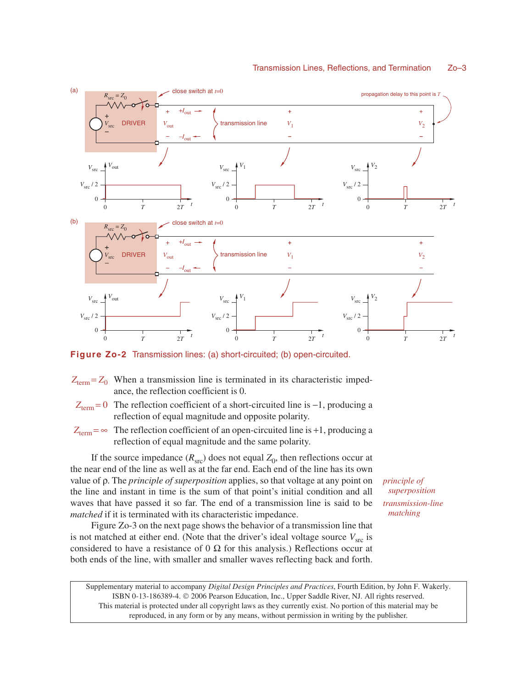

**Figure Zo-2** Transmission lines: (a) short-circuited; (b) open-circuited.

- $Z_{\text{term}} = Z_0$  When a transmission line is terminated in its characteristic impedance, the reflection coefficient is 0.
- *Z*<sub>term</sub> = 0 The reflection coefficient of a short-circuited line is −1, producing a reflection of equal magnitude and opposite polarity.
- $Z_{\text{term}} = \infty$  The reflection coefficient of an open-circuited line is +1, producing a reflection of equal magnitude and the same polarity.

If the source impedance  $(R_{\rm src})$  does not equal  $Z_0$ , then reflections occur at the near end of the line as well as at the far end. Each end of the line has its own value of ρ. The *principle of superposition* applies, so that voltage at any point on the line and instant in time is the sum of that point's initial condition and all waves that have passed it so far. The end of a transmission line is said to be *matched* if it is terminated with its characteristic impedance.

Figure Zo-3 on the next page shows the behavior of a transmission line that is not matched at either end. (Note that the driver's ideal voltage source  $V_{\text{src}}$  is considered to have a resistance of  $0 \Omega$  for this analysis.) Reflections occur at both ends of the line, with smaller and smaller waves reflecting back and forth. *principle of superposition transmission-line matching*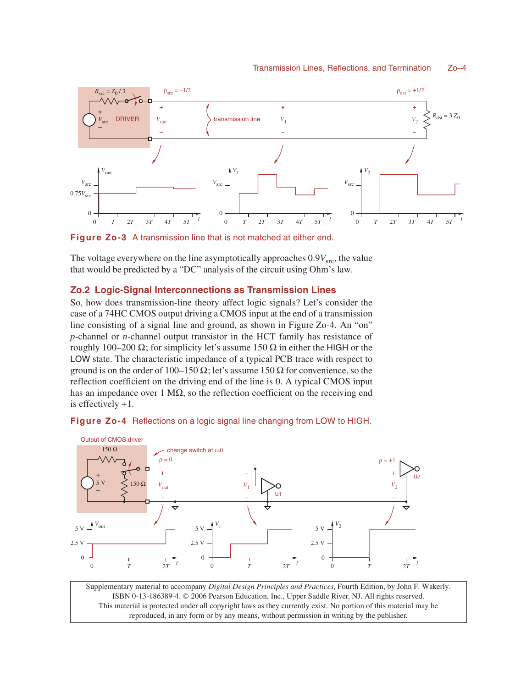

**Figure Zo-3** A transmission line that is not matched at either end.

The voltage everywhere on the line asymptotically approaches  $0.9V<sub>src</sub>$ , the value that would be predicted by a "DC" analysis of the circuit using Ohm's law.

## **Zo.2 Logic-Signal Interconnections as Transmission Lines**

So, how does transmission-line theory affect logic signals? Let's consider the case of a 74HC CMOS output driving a CMOS input at the end of a transmission line consisting of a signal line and ground, as shown in Figure Zo-4. An "on" *p*-channel or *n*-channel output transistor in the HCT family has resistance of roughly 100–200 Ω; for simplicity let's assume 150  $\Omega$  in either the HIGH or the LOW state. The characteristic impedance of a typical PCB trace with respect to ground is on the order of 100–150  $\Omega$ ; let's assume 150  $\Omega$  for convenience, so the reflection coefficient on the driving end of the line is 0. A typical CMOS input has an impedance over 1 M $\Omega$ , so the reflection coefficient on the receiving end is effectively +1.



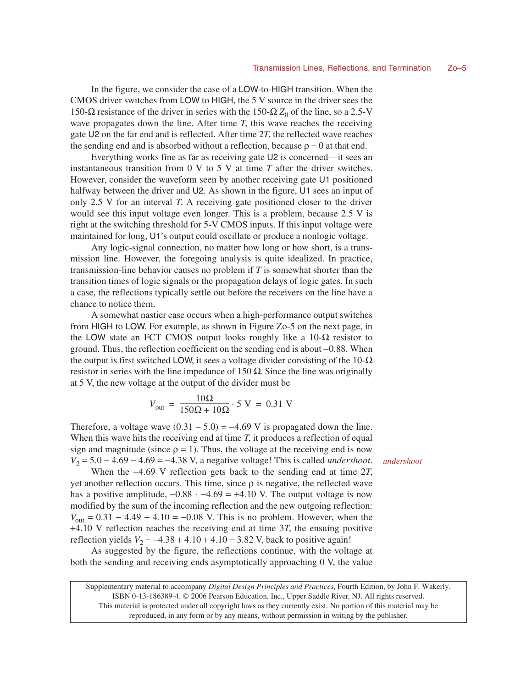In the figure, we consider the case of a LOW-to-HIGH transition. When the CMOS driver switches from LOW to HIGH, the 5 V source in the driver sees the 150-Ω resistance of the driver in series with the 150-Ω  $Z_0$  of the line, so a 2.5-V wave propagates down the line. After time  $T$ , this wave reaches the receiving gate U2 on the far end and is reflected. After time 2*T*, the reflected wave reaches the sending end and is absorbed without a reflection, because  $\rho = 0$  at that end.

Everything works fine as far as receiving gate U2 is concerned—it sees an instantaneous transition from 0 V to 5 V at time *T* after the driver switches. However, consider the waveform seen by another receiving gate U1 positioned halfway between the driver and U2. As shown in the figure, U1 sees an input of only 2.5 V for an interval *T*. A receiving gate positioned closer to the driver would see this input voltage even longer. This is a problem, because 2.5 V is right at the switching threshold for 5-V CMOS inputs. If this input voltage were maintained for long, U1's output could oscillate or produce a nonlogic voltage.

Any logic-signal connection, no matter how long or how short, is a transmission line. However, the foregoing analysis is quite idealized. In practice, transmission-line behavior causes no problem if *T* is somewhat shorter than the transition times of logic signals or the propagation delays of logic gates. In such a case, the reflections typically settle out before the receivers on the line have a chance to notice them.

A somewhat nastier case occurs when a high-performance output switches from HIGH to LOW. For example, as shown in Figure Zo-5 on the next page, in the LOW state an FCT CMOS output looks roughly like a  $10-\Omega$  resistor to ground. Thus, the reflection coefficient on the sending end is about −0.88. When the output is first switched LOW, it sees a voltage divider consisting of the  $10-\Omega$ resistor in series with the line impedance of 150  $\Omega$ . Since the line was originally at 5 V, the new voltage at the output of the divider must be

$$
V_{\text{out}} = \frac{10\Omega}{150\Omega + 10\Omega} \cdot 5 \text{ V} = 0.31 \text{ V}
$$

Therefore, a voltage wave  $(0.31 - 5.0) = -4.69$  V is propagated down the line. When this wave hits the receiving end at time *T*, it produces a reflection of equal sign and magnitude (since  $\rho = 1$ ). Thus, the voltage at the receiving end is now *V*<sub>2</sub> = 5.0 − 4.69 − 4.69 = −4.38 V, a negative voltage! This is called *undershoot*.

When the −4.69 V reflection gets back to the sending end at time 2*T*, yet another reflection occurs. This time, since ρ is negative, the reflected wave has a positive amplitude,  $-0.88 \cdot -4.69 = +4.10$  V. The output voltage is now modified by the sum of the incoming reflection and the new outgoing reflection:  $V_{\text{out}} = 0.31 - 4.49 + 4.10 = -0.08$  V. This is no problem. However, when the +4.10 V reflection reaches the receiving end at time 3*T*, the ensuing positive reflection yields  $V_2 = -4.38 + 4.10 + 4.10 = 3.82$  V, back to positive again!

As suggested by the figure, the reflections continue, with the voltage at both the sending and receiving ends asymptotically approaching 0 V, the value

Supplementary material to accompany *Digital Design Principles and Practices*, Fourth Edition, by John F. Wakerly. ISBN 0-13-186389-4.  $\odot$  2006 Pearson Education, Inc., Upper Saddle River, NJ. All rights reserved. This material is protected under all copyright laws as they currently exist. No portion of this material may be reproduced, in any form or by any means, without permission in writing by the publisher.

*undershoot*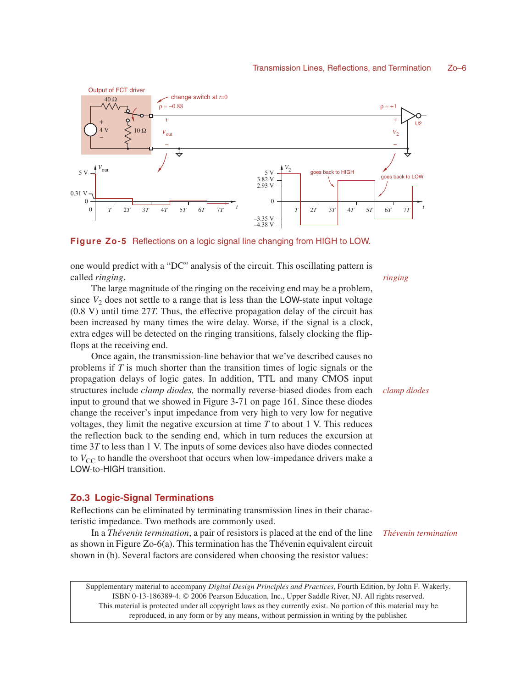

**Figure Zo-5** Reflections on a logic signal line changing from HIGH to LOW.

one would predict with a "DC" analysis of the circuit. This oscillating pattern is called *ringing*.

The large magnitude of the ringing on the receiving end may be a problem, since  $V_2$  does not settle to a range that is less than the LOW-state input voltage (0.8 V) until time 27*T*. Thus, the effective propagation delay of the circuit has been increased by many times the wire delay. Worse, if the signal is a clock, extra edges will be detected on the ringing transitions, falsely clocking the flipflops at the receiving end.

Once again, the transmission-line behavior that we've described causes no problems if *T* is much shorter than the transition times of logic signals or the propagation delays of logic gates. In addition, TTL and many CMOS input structures include *clamp diodes,* the normally reverse-biased diodes from each input to ground that we showed in Figure 3-71 on page 161. Since these diodes change the receiver's input impedance from very high to very low for negative voltages, they limit the negative excursion at time *T* to about 1 V. This reduces the reflection back to the sending end, which in turn reduces the excursion at time 3*T* to less than 1 V. The inputs of some devices also have diodes connected to  $V_{\text{CC}}$  to handle the overshoot that occurs when low-impedance drivers make a LOW-to-HIGH transition.

### **Zo.3 Logic-Signal Terminations**

Reflections can be eliminated by terminating transmission lines in their characteristic impedance. Two methods are commonly used.

In a *Thévenin termination*, a pair of resistors is placed at the end of the line as shown in Figure Zo-6(a). This termination has the Thévenin equivalent circuit shown in (b). Several factors are considered when choosing the resistor values:

*Thévenin termination*

Supplementary material to accompany *Digital Design Principles and Practices*, Fourth Edition, by John F. Wakerly. ISBN 0-13-186389-4.  $\odot$  2006 Pearson Education, Inc., Upper Saddle River, NJ. All rights reserved. This material is protected under all copyright laws as they currently exist. No portion of this material may be reproduced, in any form or by any means, without permission in writing by the publisher.

*ringing*

*clamp diodes*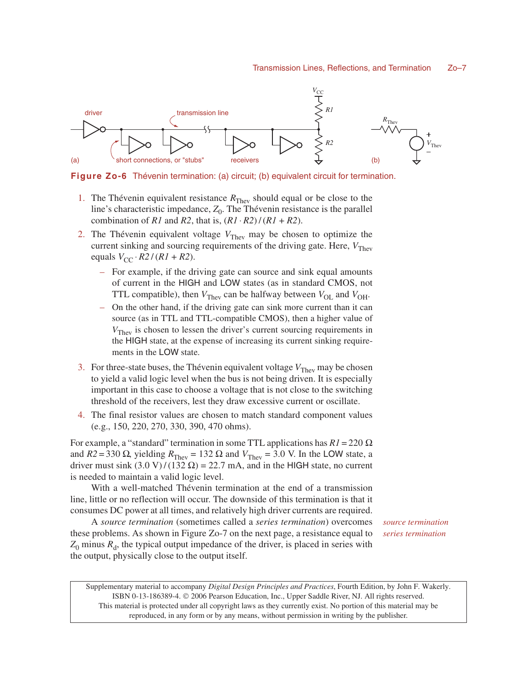

**Figure Zo-6** Thévenin termination: (a) circuit; (b) equivalent circuit for termination.

- 1. The Thévenin equivalent resistance  $R_{\text{They}}$  should equal or be close to the line's characteristic impedance,  $Z_0$ . The Thévenin resistance is the parallel combination of *R1* and *R2*, that is,  $(R1 \cdot R2) / (R1 + R2)$ .
- 2. The Thévenin equivalent voltage  $V_{\text{They}}$  may be chosen to optimize the current sinking and sourcing requirements of the driving gate. Here,  $V_{\text{They}}$ equals  $V_{CC} \cdot R2 / (R1 + R2)$ .
	- For example, if the driving gate can source and sink equal amounts of current in the HIGH and LOW states (as in standard CMOS, not TTL compatible), then  $V_{\text{They}}$  can be halfway between  $V_{\text{OL}}$  and  $V_{\text{OH}}$ .
	- On the other hand, if the driving gate can sink more current than it can source (as in TTL and TTL-compatible CMOS), then a higher value of *V*<sub>Thev</sub> is chosen to lessen the driver's current sourcing requirements in the HIGH state, at the expense of increasing its current sinking requirements in the LOW state.
- 3. For three-state buses, the Thévenin equivalent voltage  $V_{\text{They}}$  may be chosen to yield a valid logic level when the bus is not being driven. It is especially important in this case to choose a voltage that is not close to the switching threshold of the receivers, lest they draw excessive current or oscillate.
- 4. The final resistor values are chosen to match standard component values (e.g., 150, 220, 270, 330, 390, 470 ohms).

For example, a "standard" termination in some TTL applications has  $R1 = 220 \Omega$ and  $R2 = 330 \Omega$ , yielding  $R_{\text{Theory}} = 132 \Omega$  and  $V_{\text{They}} = 3.0$  V. In the LOW state, a driver must sink  $(3.0 \text{ V})/(132 \Omega) = 22.7 \text{ mA}$ , and in the HIGH state, no current is needed to maintain a valid logic level.

With a well-matched Thévenin termination at the end of a transmission line, little or no reflection will occur. The downside of this termination is that it consumes DC power at all times, and relatively high driver currents are required.

A *source termination* (sometimes called a *series termination*) overcomes these problems. As shown in Figure Zo-7 on the next page, a resistance equal to  $Z_0$  minus  $R_d$ , the typical output impedance of the driver, is placed in series with the output, physically close to the output itself.

*source termination series termination*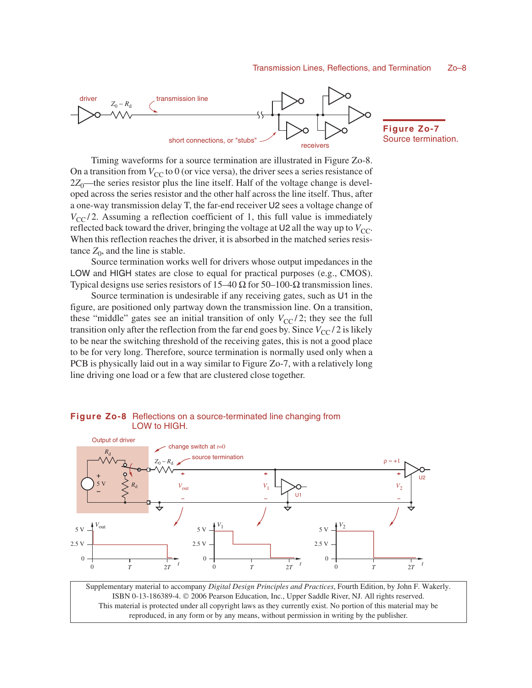

**Figure Zo-7** Source termination.

U2

Timing waveforms for a source termination are illustrated in Figure Zo-8. On a transition from  $V_{CC}$  to 0 (or vice versa), the driver sees a series resistance of  $2Z_0$ —the series resistor plus the line itself. Half of the voltage change is developed across the series resistor and the other half across the line itself. Thus, after a one-way transmission delay T, the far-end receiver U2 sees a voltage change of  $V_{\text{CC}}/2$ . Assuming a reflection coefficient of 1, this full value is immediately reflected back toward the driver, bringing the voltage at  $U_2$  all the way up to  $V_{CC}$ . When this reflection reaches the driver, it is absorbed in the matched series resistance  $Z_0$ , and the line is stable.

Source termination works well for drivers whose output impedances in the LOW and HIGH states are close to equal for practical purposes (e.g., CMOS). Typical designs use series resistors of 15–40  $\Omega$  for 50–100- $\Omega$  transmission lines.

Source termination is undesirable if any receiving gates, such as U1 in the figure, are positioned only partway down the transmission line. On a transition, these "middle" gates see an initial transition of only  $V_{CC}/2$ ; they see the full transition only after the reflection from the far end goes by. Since  $V_{CC}/2$  is likely to be near the switching threshold of the receiving gates, this is not a good place to be for very long. Therefore, source termination is normally used only when a PCB is physically laid out in a way similar to Figure Zo-7, with a relatively long line driving one load or a few that are clustered close together.

#### $V_{\text{out}}$ change switch at *t*=0  $V_2$ 5 V *R*d 5 V *V*out  $\theta$ 2.5 V 5 V 2.5 V 5 V 2.5 V *V*1  $\Omega$  $V_2$  $\overline{0}$ U1  $\rho \approx +1$ Output of driver *R*d  $Z_0 - R_d$ source termination

#### **Figure Zo-8** Reflections on a source-terminated line changing from LOW to HIGH.

 $\Omega$ 

 $\Omega$ 

Supplementary material to accompany *Digital Design Principles and Practices*, Fourth Edition, by John F. Wakerly. ISBN 0-13-186389-4.  $\odot$  2006 Pearson Education, Inc., Upper Saddle River, NJ. All rights reserved. This material is protected under all copyright laws as they currently exist. No portion of this material may be reproduced, in any form or by any means, without permission in writing by the publisher.

 $T$  2*T*  $T$  1 2*T* 2*T* 1 2*T* 1 2*T* 2*T* 

*ttt*